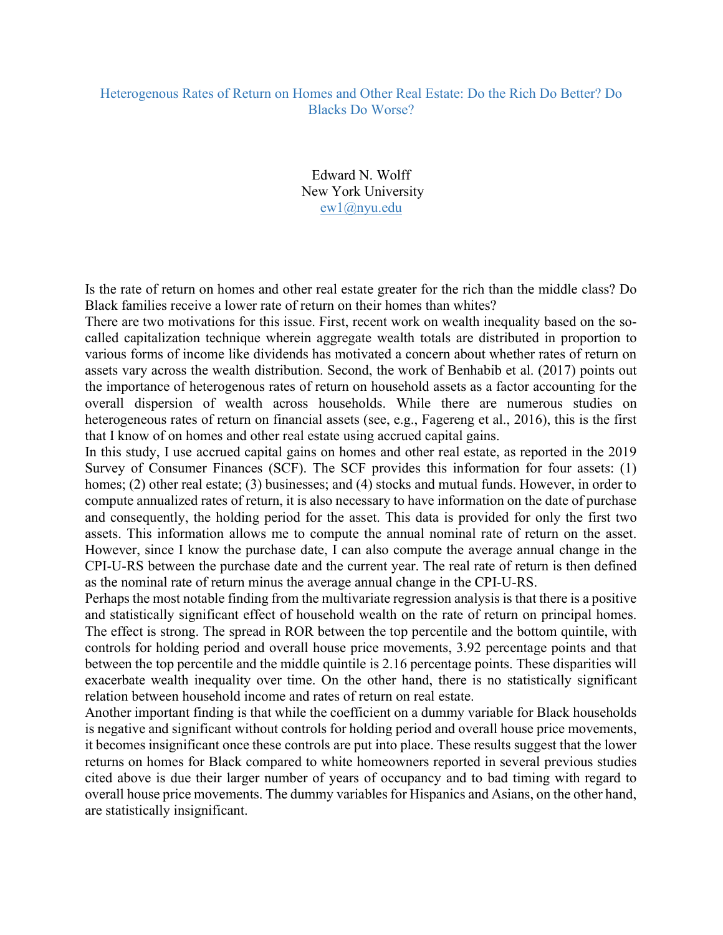## Heterogenous Rates of Return on Homes and Other Real Estate: Do the Rich Do Better? Do Blacks Do Worse?

Edward N. Wolff New York University ew1@nyu.edu

Is the rate of return on homes and other real estate greater for the rich than the middle class? Do Black families receive a lower rate of return on their homes than whites?

There are two motivations for this issue. First, recent work on wealth inequality based on the socalled capitalization technique wherein aggregate wealth totals are distributed in proportion to various forms of income like dividends has motivated a concern about whether rates of return on assets vary across the wealth distribution. Second, the work of Benhabib et al. (2017) points out the importance of heterogenous rates of return on household assets as a factor accounting for the overall dispersion of wealth across households. While there are numerous studies on heterogeneous rates of return on financial assets (see, e.g., Fagereng et al., 2016), this is the first that I know of on homes and other real estate using accrued capital gains.

In this study, I use accrued capital gains on homes and other real estate, as reported in the 2019 Survey of Consumer Finances (SCF). The SCF provides this information for four assets: (1) homes; (2) other real estate; (3) businesses; and (4) stocks and mutual funds. However, in order to compute annualized rates of return, it is also necessary to have information on the date of purchase and consequently, the holding period for the asset. This data is provided for only the first two assets. This information allows me to compute the annual nominal rate of return on the asset. However, since I know the purchase date, I can also compute the average annual change in the CPI-U-RS between the purchase date and the current year. The real rate of return is then defined as the nominal rate of return minus the average annual change in the CPI-U-RS.

Perhaps the most notable finding from the multivariate regression analysis is that there is a positive and statistically significant effect of household wealth on the rate of return on principal homes. The effect is strong. The spread in ROR between the top percentile and the bottom quintile, with controls for holding period and overall house price movements, 3.92 percentage points and that between the top percentile and the middle quintile is 2.16 percentage points. These disparities will exacerbate wealth inequality over time. On the other hand, there is no statistically significant relation between household income and rates of return on real estate.

Another important finding is that while the coefficient on a dummy variable for Black households is negative and significant without controls for holding period and overall house price movements, it becomes insignificant once these controls are put into place. These results suggest that the lower returns on homes for Black compared to white homeowners reported in several previous studies cited above is due their larger number of years of occupancy and to bad timing with regard to overall house price movements. The dummy variables for Hispanics and Asians, on the other hand, are statistically insignificant.